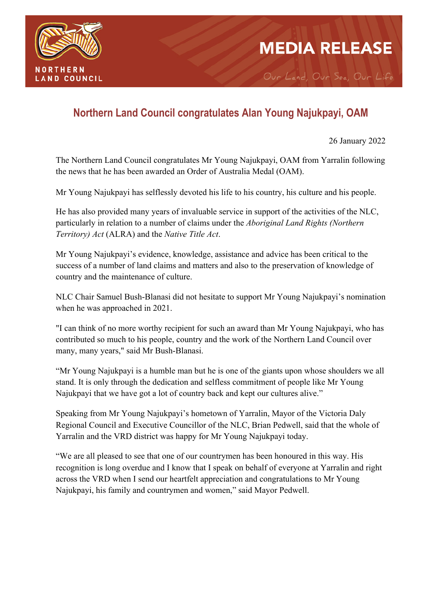

## **MEDIA RELEASE**

Our Land, Our Sea, Our Life

## **Northern Land Council congratulates Alan Young Najukpayi, OAM**

26 January 2022

The Northern Land Council congratulates Mr Young Najukpayi, OAM from Yarralin following the news that he has been awarded an Order of Australia Medal (OAM).

Mr Young Najukpayi has selflessly devoted his life to his country, his culture and his people.

He has also provided many years of invaluable service in support of the activities of the NLC, particularly in relation to a number of claims under the *Aboriginal Land Rights (Northern Territory) Act* (ALRA) and the *Native Title Act*.

Mr Young Najukpayi's evidence, knowledge, assistance and advice has been critical to the success of a number of land claims and matters and also to the preservation of knowledge of country and the maintenance of culture.

NLC Chair Samuel Bush-Blanasi did not hesitate to support Mr Young Najukpayi's nomination when he was approached in 2021.

"I can think of no more worthy recipient for such an award than Mr Young Najukpayi, who has contributed so much to his people, country and the work of the Northern Land Council over many, many years," said Mr Bush-Blanasi.

"Mr Young Najukpayi is a humble man but he is one of the giants upon whose shoulders we all stand. It is only through the dedication and selfless commitment of people like Mr Young Najukpayi that we have got a lot of country back and kept our cultures alive."

Speaking from Mr Young Najukpayi's hometown of Yarralin, Mayor of the Victoria Daly Regional Council and Executive Councillor of the NLC, Brian Pedwell, said that the whole of Yarralin and the VRD district was happy for Mr Young Najukpayi today.

"We are all pleased to see that one of our countrymen has been honoured in this way. His recognition is long overdue and I know that I speak on behalf of everyone at Yarralin and right across the VRD when I send our heartfelt appreciation and congratulations to Mr Young Najukpayi, his family and countrymen and women," said Mayor Pedwell.